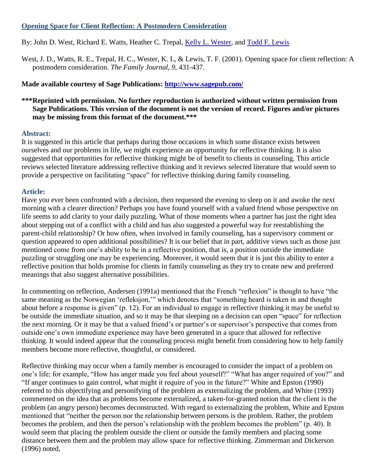# **Opening Space for Client Reflection: A Postmodern Consideration**

By: John D. West, Richard E. Watts, Heather C. Trepal, [Kelly L. Wester,](https://libres.uncg.edu/ir/uncg/clist.aspx?id=1074) and [Todd F. Lewis](https://libres.uncg.edu/ir/uncg/clist.aspx?id=1153)

West, J. D., Watts, R. E., Trepal, H. C., Wester, K. L, & Lewis, T. F. (2001). Opening space for client reflection: A postmodern consideration. *The Family Journal, 9,* 431-437.

# **Made available courtesy of Sage Publications:<http://www.sagepub.com/>**

# **\*\*\*Reprinted with permission. No further reproduction is authorized without written permission from Sage Publications. This version of the document is not the version of record. Figures and/or pictures may be missing from this format of the document.\*\*\***

## **Abstract:**

It is suggested in this article that perhaps during those occasions in which some distance exists between ourselves and our problems in life, we might experience an opportunity for reflective thinking. It is also suggested that opportunities for reflective thinking might be of benefit to clients in counseling. This article reviews selected literature addressing reflective thinking and it reviews selected literature that would seem to provide a perspective on facilitating "space" for reflective thinking during family counseling.

# **Article:**

Have you ever been confronted with a decision, then requested the evening to sleep on it and awoke the next morning with a clearer direction? Perhaps you have found yourself with a valued friend whose perspective on life seems to add clarity to your daily puzzling. What of those moments when a partner has just the right idea about stepping out of a conflict with a child and has also suggested a powerful way for reestablishing the parent-child relationship? Or how often, when involved in family counseling, has a supervisory comment or question appeared to open additional possibilities? It is our belief that in part, additive views such as those just mentioned come from one's ability to be in a reflective position, that is, a position outside the immediate puzzling or struggling one may be experiencing. Moreover, it would seem that it is just this ability to enter a reflective position that holds promise for clients in family counseling as they try to create new and preferred meanings that also suggest alternative possibilities.

In commenting on reflection, Andersen (1991a) mentioned that the French "reflexion" is thought to have "the same meaning as the Norwegian 'refleksjon,"" which denotes that "something heard is taken in and thought about before a response is given" (p. 12). For an individual to engage in reflective thinking it may be useful to be outside the immediate situation, and so it may be that sleeping on a decision can open "space" for reflection the next morning. Or it may be that a valued friend's or partner's or supervisor's perspective that comes from outside one"s own immediate experience may have been generated in a space that allowed for reflective thinking. It would indeed appear that the counseling process might benefit from considering how to help family members become more reflective, thoughtful, or considered.

Reflective thinking may occur when a family member is encouraged to consider the impact of a problem on one"s life; for example, "How has anger made you feel about yourself?" "What has anger required of you?" and "If anger continues to gain control, what might it require of you in the future?" White and Epston (1990) referred to this objectifying and personifying of the problem as externalizing the problem, and White (1993) commented on the idea that as problems become externalized, a taken-for-granted notion that the client is the problem (an angry person) becomes deconstructed. With regard to externalizing the problem, White and Epston mentioned that "neither the person nor the relationship between persons is the problem. Rather, the problem becomes the problem, and then the person"s relationship with the problem becomes the problem" (p. 40). It would seem that placing the problem outside the client or outside the family members and placing some distance between them and the problem may allow space for reflective thinking. Zimmerman and Dickerson (1996) noted,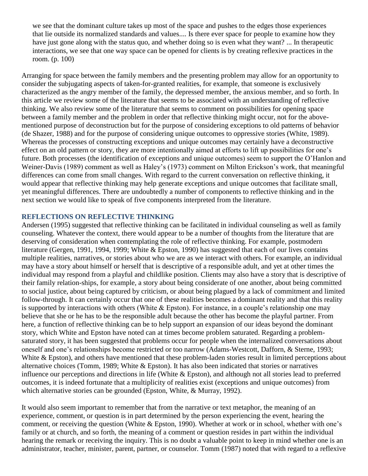we see that the dominant culture takes up most of the space and pushes to the edges those experiences that lie outside its normalized standards and values.... Is there ever space for people to examine how they have just gone along with the status quo, and whether doing so is even what they want? ... In therapeutic interactions, we see that one way space can be opened for clients is by creating reflexive practices in the room. (p. 100)

Arranging for space between the family members and the presenting problem may allow for an opportunity to consider the subjugating aspects of taken-for-granted realities, for example, that someone is exclusively characterized as the angry member of the family, the depressed member, the anxious member, and so forth. In this article we review some of the literature that seems to be associated with an understanding of reflective thinking. We also review some of the literature that seems to comment on possibilities for opening space between a family member and the problem in order that reflective thinking might occur, not for the abovementioned purpose of deconstruction but for the purpose of considering exceptions to old patterns of behavior (de Shazer, 1988) and for the purpose of considering unique outcomes to oppressive stories (White, 1989). Whereas the processes of constructing exceptions and unique outcomes may certainly have a deconstructive effect on an old pattern or story, they are more intentionally aimed at efforts to lift up possibilities for one"s future. Both processes (the identification of exceptions and unique outcomes) seem to support the O"Hanlon and Weiner-Davis (1989) comment as well as Haley's (1973) comment on Milton Erickson's work, that meaningful differences can come from small changes. With regard to the current conversation on reflective thinking, it would appear that reflective thinking may help generate exceptions and unique outcomes that facilitate small, yet meaningful differences. There are undoubtedly a number of components to reflective thinking and in the next section we would like to speak of five components interpreted from the literature.

## **REFLECTIONS ON REFLECTIVE THINKING**

Andersen (1995) suggested that reflective thinking can be facilitated in individual counseling as well as family counseling. Whatever the context, there would appear to be a number of thoughts from the literature that are deserving of consideration when contemplating the role of reflective thinking. For example, postmodern literature (Gergen, 1991, 1994, 1999; White & Epston, 1990) has suggested that each of our lives contains multiple realities, narratives, or stories about who we are as we interact with others. For example, an individual may have a story about himself or herself that is descriptive of a responsible adult, and yet at other times the individual may respond from a playful and childlike position. Clients may also have a story that is descriptive of their family relation-ships, for example, a story about being considerate of one another, about being committed to social justice, about being captured by criticism, or about being plagued by a lack of commitment and limited follow-through. It can certainly occur that one of these realities becomes a dominant reality and that this reality is supported by interactions with others (White & Epston). For instance, in a couple"s relationship one may believe that she or he has to be the responsible adult because the other has become the playful partner. From here, a function of reflective thinking can be to help support an expansion of our ideas beyond the dominant story, which White and Epston have noted can at times become problem saturated. Regarding a problemsaturated story, it has been suggested that problems occur for people when the internalized conversations about oneself and one"s relationships become restricted or too narrow (Adams-Westcott, Dafforn, & Sterne, 1993; White & Epston), and others have mentioned that these problem-laden stories result in limited perceptions about alternative choices (Tomm, 1989; White & Epston). It has also been indicated that stories or narratives influence our perceptions and directions in life (White & Epston), and although not all stories lead to preferred outcomes, it is indeed fortunate that a multiplicity of realities exist (exceptions and unique outcomes) from which alternative stories can be grounded (Epston, White, & Murray, 1992).

It would also seem important to remember that from the narrative or text metaphor, the meaning of an experience, comment, or question is in part determined by the person experiencing the event, hearing the comment, or receiving the question (White & Epston, 1990). Whether at work or in school, whether with one's family or at church, and so forth, the meaning of a comment or question resides in part within the individual hearing the remark or receiving the inquiry. This is no doubt a valuable point to keep in mind whether one is an administrator, teacher, minister, parent, partner, or counselor. Tomm (1987) noted that with regard to a reflexive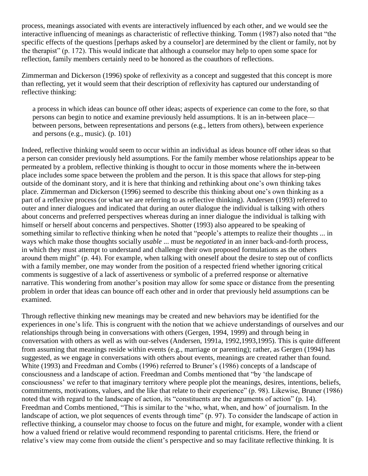process, meanings associated with events are interactively influenced by each other, and we would see the interactive influencing of meanings as characteristic of reflective thinking. Tomm (1987) also noted that "the specific effects of the questions [perhaps asked by a counselor] are determined by the client or family, not by the therapist" (p. 172). This would indicate that although a counselor may help to open some space for reflection, family members certainly need to be honored as the coauthors of reflections.

Zimmerman and Dickerson (1996) spoke of reflexivity as a concept and suggested that this concept is more than reflecting, yet it would seem that their description of reflexivity has captured our understanding of reflective thinking:

a process in which ideas can bounce off other ideas; aspects of experience can come to the fore, so that persons can begin to notice and examine previously held assumptions. It is an in-between place between persons, between representations and persons (e.g., letters from others), between experience and persons (e.g., music). (p. 101)

Indeed, reflective thinking would seem to occur within an individual as ideas bounce off other ideas so that a person can consider previously held assumptions. For the family member whose relationships appear to be permeated by a problem, reflective thinking is thought to occur in those moments where the in-between place includes some space between the problem and the person. It is this space that allows for step-ping outside of the dominant story, and it is here that thinking and rethinking about one"s own thinking takes place. Zimmerman and Dickerson (1996) seemed to describe this thinking about one"s own thinking as a part of a reflexive process (or what we are referring to as reflective thinking). Andersen (1993) referred to outer and inner dialogues and indicated that during an outer dialogue the individual is talking with others about concerns and preferred perspectives whereas during an inner dialogue the individual is talking with himself or herself about concerns and perspectives. Shotter (1993) also appeared to be speaking of something similar to reflective thinking when he noted that "people"s attempts to realize their thoughts ... in ways which make those thoughts socially *usable* ... must be *negotiated* in an inner back-and-forth process, in which they must attempt to understand and challenge their own proposed formulations as the others around them might" (p. 44). For example, when talking with oneself about the desire to step out of conflicts with a family member, one may wonder from the position of a respected friend whether ignoring critical comments is suggestive of a lack of assertiveness or symbolic of a preferred response or alternative narrative. This wondering from another's position may allow for some space or distance from the presenting problem in order that ideas can bounce off each other and in order that previously held assumptions can be examined.

Through reflective thinking new meanings may be created and new behaviors may be identified for the experiences in one's life. This is congruent with the notion that we achieve understandings of ourselves and our relationships through being in conversations with others (Gergen, 1994, 1999) and through being in conversation with others as well as with our-selves (Andersen, 1991a, 1992,1993,1995). This is quite different from assuming that meanings reside within events (e.g., marriage or parenting); rather, as Gergen (1994) has suggested, as we engage in conversations with others about events, meanings are created rather than found. White (1993) and Freedman and Combs (1996) referred to Bruner"s (1986) concepts of a landscape of consciousness and a landscape of action. Freedman and Combs mentioned that "by "the landscape of consciousness" we refer to that imaginary territory where people plot the meanings, desires, intentions, beliefs, commitments, motivations, values, and the like that relate to their experience" (p. 98). Likewise, Bruner (1986) noted that with regard to the landscape of action, its "constituents are the arguments of action" (p. 14). Freedman and Combs mentioned, "This is similar to the "who, what, when, and how" of journalism. In the landscape of action, we plot sequences of events through time" (p. 97). To consider the landscape of action in reflective thinking, a counselor may choose to focus on the future and might, for example, wonder with a client how a valued friend or relative would recommend responding to parental criticisms. Here, the friend or relative's view may come from outside the client's perspective and so may facilitate reflective thinking. It is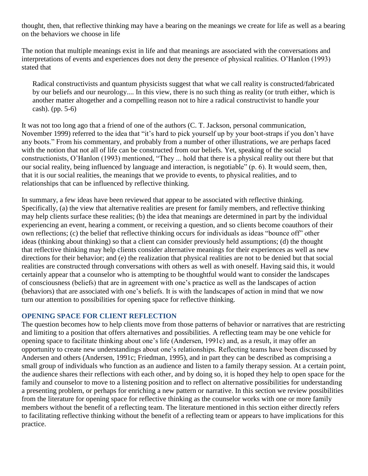thought, then, that reflective thinking may have a bearing on the meanings we create for life as well as a bearing on the behaviors we choose in life

The notion that multiple meanings exist in life and that meanings are associated with the conversations and interpretations of events and experiences does not deny the presence of physical realities. O"Hanlon (1993) stated that

Radical constructivists and quantum physicists suggest that what we call reality is constructed/fabricated by our beliefs and our neurology.... In this view, there is no such thing as reality (or truth either, which is another matter altogether and a compelling reason not to hire a radical constructivist to handle your cash). (pp. 5-6)

It was not too long ago that a friend of one of the authors (C. T. Jackson, personal communication, November 1999) referred to the idea that "it"s hard to pick yourself up by your boot-straps if you don"t have any boots." From his commentary, and probably from a number of other illustrations, we are perhaps faced with the notion that not all of life can be constructed from our beliefs. Yet, speaking of the social constructionists, O"Hanlon (1993) mentioned, "They ... hold that there is a physical reality out there but that our social reality, being influenced by language and interaction, is negotiable" (p. 6). It would seem, then, that it is our social realities, the meanings that we provide to events, to physical realities, and to relationships that can be influenced by reflective thinking.

In summary, a few ideas have been reviewed that appear to be associated with reflective thinking. Specifically, (a) the view that alternative realities are present for family members, and reflective thinking may help clients surface these realities; (b) the idea that meanings are determined in part by the individual experiencing an event, hearing a comment, or receiving a question, and so clients become coauthors of their own reflections; (c) the belief that reflective thinking occurs for individuals as ideas "bounce off" other ideas (thinking about thinking) so that a client can consider previously held assumptions; (d) the thought that reflective thinking may help clients consider alternative meanings for their experiences as well as new directions for their behavior; and (e) the realization that physical realities are not to be denied but that social realities are constructed through conversations with others as well as with oneself. Having said this, it would certainly appear that a counselor who is attempting to be thoughtful would want to consider the landscapes of consciousness (beliefs) that are in agreement with one"s practice as well as the landscapes of action (behaviors) that are associated with one"s beliefs. It is with the landscapes of action in mind that we now turn our attention to possibilities for opening space for reflective thinking.

### **OPENING SPACE FOR CLIENT REFLECTION**

The question becomes how to help clients move from those patterns of behavior or narratives that are restricting and limiting to a position that offers alternatives and possibilities. A reflecting team may be one vehicle for opening space to facilitate thinking about one"s life (Andersen, 1991c) and, as a result, it may offer an opportunity to create new understandings about one"s relationships. Reflecting teams have been discussed by Andersen and others (Andersen, 1991c; Friedman, 1995), and in part they can be described as comprising a small group of individuals who function as an audience and listen to a family therapy session. At a certain point, the audience shares their reflections with each other, and by doing so, it is hoped they help to open space for the family and counselor to move to a listening position and to reflect on alternative possibilities for understanding a presenting problem, or perhaps for enriching a new pattern or narrative. In this section we review possibilities from the literature for opening space for reflective thinking as the counselor works with one or more family members without the benefit of a reflecting team. The literature mentioned in this section either directly refers to facilitating reflective thinking without the benefit of a reflecting team or appears to have implications for this practice.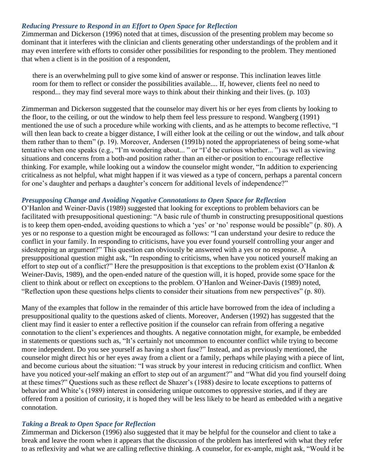## *Reducing Pressure to Respond in an Effort to Open Space for Reflection*

Zimmerman and Dickerson (1996) noted that at times, discussion of the presenting problem may become so dominant that it interferes with the clinician and clients generating other understandings of the problem and it may even interfere with efforts to consider other possibilities for responding to the problem. They mentioned that when a client is in the position of a respondent,

there is an overwhelming pull to give some kind of answer or response. This inclination leaves little room for them to reflect or consider the possibilities available.... If, however, clients feel no need to respond... they may find several more ways to think about their thinking and their lives. (p. 103)

Zimmerman and Dickerson suggested that the counselor may divert his or her eyes from clients by looking to the floor, to the ceiling, or out the window to help them feel less pressure to respond. Wangberg (1991) mentioned the use of such a procedure while working with clients, and as he attempts to become reflective, "I will then lean back to create a bigger distance, I will either look at the ceiling or out the window, and talk *about* them rather than to them" (p. 19). Moreover, Andersen (1991b) noted the appropriateness of being some-what tentative when one speaks (e.g., "I"m wondering about... " or "I"d be curious whether... ") as well as viewing situations and concerns from a both-and position rather than an either-or position to encourage reflective thinking. For example, while looking out a window the counselor might wonder, "In addition to experiencing criticalness as not helpful, what might happen if it was viewed as a type of concern, perhaps a parental concern for one's daughter and perhaps a daughter's concern for additional levels of independence?"

## *Presupposing Change and Avoiding Negative Connotations to Open Space for Reflection*

O"Hanlon and Weiner-Davis (1989) suggested that looking for exceptions to problem behaviors can be facilitated with presuppositional questioning: "A basic rule of thumb in constructing presuppositional questions is to keep them open-ended, avoiding questions to which a 'yes' or 'no' response would be possible" (p. 80). A yes or no response to a question might be encouraged as follows: "I can understand your desire to reduce the conflict in your family. In responding to criticisms, have you ever found yourself controlling your anger and sidestepping an argument?" This question can obviously be answered with a yes or no response. A presuppositional question might ask, "In responding to criticisms, when have you noticed yourself making an effort to step out of a conflict?" Here the presupposition is that exceptions to the problem exist (O"Hanlon & Weiner-Davis, 1989), and the open-ended nature of the question will, it is hoped, provide some space for the client to think about or reflect on exceptions to the problem. O"Hanlon and Weiner-Davis (1989) noted, "Reflection upon these questions helps clients to consider their situations from new perspectives" (p. 80).

Many of the examples that follow in the remainder of this article have borrowed from the idea of including a presuppositional quality to the questions asked of clients. Moreover, Andersen (1992) has suggested that the client may find it easier to enter a reflective position if the counselor can refrain from offering a negative connotation to the client"s experiences and thoughts. A negative connotation might, for example, be embedded in statements or questions such as, "It"s certainly not uncommon to encounter conflict while trying to become more independent. Do you see yourself as having a short fuse?" Instead, and as previously mentioned, the counselor might direct his or her eyes away from a client or a family, perhaps while playing with a piece of lint, and become curious about the situation: "I was struck by your interest in reducing criticism and conflict. When have you noticed your-self making an effort to step out of an argument?" and "What did you find yourself doing at these times?" Questions such as these reflect de Shazer"s (1988) desire to locate exceptions to patterns of behavior and White's (1989) interest in considering unique outcomes to oppressive stories, and if they are offered from a position of curiosity, it is hoped they will be less likely to be heard as embedded with a negative connotation.

### *Taking a Break to Open Space for Reflection*

Zimmerman and Dickerson (1996) also suggested that it may be helpful for the counselor and client to take a break and leave the room when it appears that the discussion of the problem has interfered with what they refer to as reflexivity and what we are calling reflective thinking. A counselor, for ex-ample, might ask, "Would it be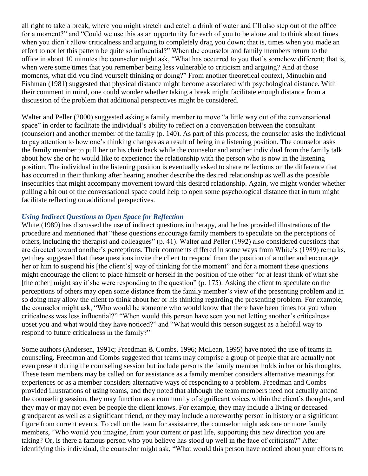all right to take a break, where you might stretch and catch a drink of water and I"ll also step out of the office for a moment?" and "Could we use this as an opportunity for each of you to be alone and to think about times when you didn't allow criticalness and arguing to completely drag you down; that is, times when you made an effort to not let this pattern be quite so influential?" When the counselor and family members return to the office in about 10 minutes the counselor might ask, "What has occurred to you that"s somehow different; that is, when were some times that you remember being less vulnerable to criticism and arguing? And at those moments, what did you find yourself thinking or doing?" From another theoretical context, Minuchin and Fishman (1981) suggested that physical distance might become associated with psychological distance. With their comment in mind, one could wonder whether taking a break might facilitate enough distance from a discussion of the problem that additional perspectives might be considered.

Walter and Peller (2000) suggested asking a family member to move "a little way out of the conversational space" in order to facilitate the individual's ability to reflect on a conversation between the consultant (counselor) and another member of the family (p. 140). As part of this process, the counselor asks the individual to pay attention to how one"s thinking changes as a result of being in a listening position. The counselor asks the family member to pull her or his chair back while the counselor and another individual from the family talk about how she or he would like to experience the relationship with the person who is now in the listening position. The individual in the listening position is eventually asked to share reflections on the difference that has occurred in their thinking after hearing another describe the desired relationship as well as the possible insecurities that might accompany movement toward this desired relationship. Again, we might wonder whether pulling a bit out of the conversational space could help to open some psychological distance that in turn might facilitate reflecting on additional perspectives.

## *Using Indirect Questions to Open Space for Reflection*

White (1989) has discussed the use of indirect questions in therapy, and he has provided illustrations of the procedure and mentioned that "these questions encourage family members to speculate on the perceptions of others, including the therapist and colleagues" (p. 41). Walter and Peller (1992) also considered questions that are directed toward another's perceptions. Their comments differed in some ways from White's (1989) remarks, yet they suggested that these questions invite the client to respond from the position of another and encourage her or him to suspend his [the client's] way of thinking for the moment" and for a moment these questions might encourage the client to place himself or herself in the position of the other "or at least think of what she [the other] might say if she were responding to the question" (p. 175). Asking the client to speculate on the perceptions of others may open some distance from the family member"s view of the presenting problem and in so doing may allow the client to think about her or his thinking regarding the presenting problem. For example, the counselor might ask, "Who would be someone who would know that there have been times for you when criticalness was less influential?" "When would this person have seen you not letting another"s criticalness upset you and what would they have noticed?" and "What would this person suggest as a helpful way to respond to future criticalness in the family?"

Some authors (Andersen, 1991c; Freedman & Combs, 1996; McLean, 1995) have noted the use of teams in counseling. Freedman and Combs suggested that teams may comprise a group of people that are actually not even present during the counseling session but include persons the family member holds in her or his thoughts. These team members may be called on for assistance as a family member considers alternative meanings for experiences or as a member considers alternative ways of responding to a problem. Freedman and Combs provided illustrations of using teams, and they noted that although the team members need not actually attend the counseling session, they may function as a community of significant voices within the client"s thoughts, and they may or may not even be people the client knows. For example, they may include a living or deceased grandparent as well as a significant friend, or they may include a noteworthy person in history or a significant figure from current events. To call on the team for assistance, the counselor might ask one or more family members, "Who would you imagine, from your current or past life, supporting this new direction you are taking? Or, is there a famous person who you believe has stood up well in the face of criticism?" After identifying this individual, the counselor might ask, "What would this person have noticed about your efforts to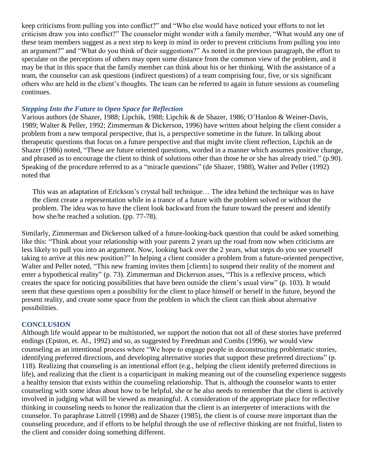keep criticisms from pulling you into conflict?" and "Who else would have noticed your efforts to not let criticism draw you into conflict?" The counselor might wonder with a family member, "What would any one of these team members suggest as a next step to keep in mind in order to prevent criticisms from pulling you into an argument?" and "What do you think of their suggestions?" As noted in the previous paragraph, the effort to speculate on the perceptions of others may open some distance from the common view of the problem, and it may be that in this space that the family member can think about his or her thinking. With the assistance of a team, the counselor can ask questions (indirect questions) of a team comprising four, five, or six significant others who are held in the client"s thoughts. The team can be referred to again in future sessions as counseling continues.

### *Stepping Into the Future to Open Space for Reflection*

Various authors (de Shazer, 1988; Lipchik, 1988; Lipchik & de Shazer, 1986; O"Hanlon & Weiner-Davis, 1989; Walter & Peller, 1992; Zimmerman & Dickerson, 1996) have written about helping the client consider a problem from a new temporal perspective, that is, a perspective sometime in the future. In talking about therapeutic questions that focus on a future perspective and that might invite client reflection, Lipchik an de Shazer (1986) noted, "These are future oriented questions, worded in a manner which assumes positive change, and phrased as to encourage the client to think of solutions other than those he or she has already tried." (p.90). Speaking of the procedure referred to as a "miracle questions" (de Shazer, 1988), Walter and Peller (1992) noted that

This was an adaptation of Erickson"s crystal ball technique… The idea behind the technique was to have the client create a representation while in a trance of a future with the problem solved or without the problem. The idea was to have the client look backward from the future toward the present and identify how she/he reached a solution. (pp. 77-78).

Similarly, Zimmerman and Dickerson talked of a future-looking-back question that could be asked something like this: "Think about your relationship with your parents 2 years up the road from now when criticisms are less likely to pull you into an argument. Now, looking back over the 2 years, what steps do you see yourself taking to arrive at this new position?" In helping a client consider a problem from a future-oriented perspective, Walter and Peller noted, "This new framing invites them [clients] to suspend their reality of the moment and enter a hypothetical reality" (p. 73). Zimmerman and Dickerson asses, "This is a reflexive process, which creates the space for noticing possibilities that have been outside the client"s usual view" (p. 103). It would seem that these questions open a possibility for the client to place himself or herself in the future, beyond the present reality, and create some space from the problem in which the client can think about alternative possibilities.

### **CONCLUSION**

Although life would appear to be multistoried, we support the notion that not all of these stories have preferred endings (Epston, et. Al., 1992) and so, as suggested by Freedman and Combs (1996), we would view counseling as an intentional process where "We hope to engage people in deconstructing problematic stories, identifying preferred directions, and developing alternative stories that support these preferred directions" (p. 118). Realizing that counseling is an intentional effort (e.g., helping the client identify preferred directions in life), and realizing that the client is a coparticipant in making meaning out of the counseling experience suggests a healthy tension that exists within the counseling relationship. That is, although the counselor wants to enter counseling with some ideas about how to be helpful, she or he also needs to remember that the client is actively involved in judging what will be viewed as meaningful. A consideration of the appropriate place for reflective thinking in counseling needs to honor the realization that the client is an interpreter of interactions with the counselor. To paraphrase Littrell (1998) and de Shazer (1985), the client is of course more important than the counseling procedure, and if efforts to be helpful through the use of reflective thinking are not fruitful, listen to the client and consider doing something different.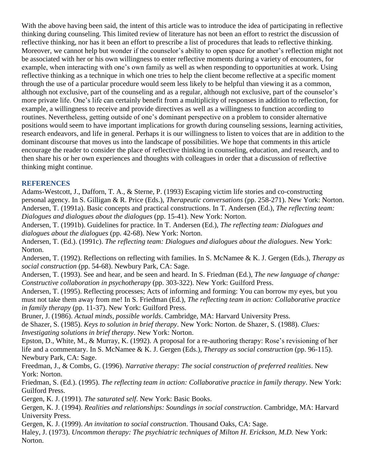With the above having been said, the intent of this article was to introduce the idea of participating in reflective thinking during counseling. This limited review of literature has not been an effort to restrict the discussion of reflective thinking, nor has it been an effort to prescribe a list of procedures that leads to reflective thinking. Moreover, we cannot help but wonder if the counselor's ability to open space for another's reflection might not be associated with her or his own willingness to enter reflective moments during a variety of encounters, for example, when interacting with one's own family as well as when responding to opportunities at work. Using reflective thinking as a technique in which one tries to help the client become reflective at a specific moment through the use of a particular procedure would seem less likely to be helpful than viewing it as a common, although not exclusive, part of the counseling and as a regular, although not exclusive, part of the counselor"s more private life. One's life can certainly benefit from a multiplicity of responses in addition to reflection, for example, a willingness to receive and provide directives as well as a willingness to function according to routines. Nevertheless, getting outside of one"s dominant perspective on a problem to consider alternative positions would seem to have important implications for growth during counseling sessions, learning activities, research endeavors, and life in general. Perhaps it is our willingness to listen to voices that are in addition to the dominant discourse that moves us into the landscape of possibilities. We hope that comments in this article encourage the reader to consider the place of reflective thinking in counseling, education, and research, and to then share his or her own experiences and thoughts with colleagues in order that a discussion of reflective thinking might continue.

# **REFERENCES**

Adams-Westcott, J., Dafforn, T. A., & Sterne, P. (1993) Escaping victim life stories and co-constructing personal agency. In S. Gilligan & R. Price (Eds.), *Therapeutic conversations* (pp. 258-271). New York: Norton. Andersen, T. (1991a). Basic concepts and practical constructions. In T. Andersen (Ed.), *The reflecting team: Dialogues and dialogues about the dialogues* (pp. 15-41). New York: Norton.

Andersen, T. (1991b). Guidelines for practice. In T. Andersen (Ed.), *The reflecting team: Dialogues and dialogues about the dialogues* (pp. 42-68). New York: Norton.

Andersen, T. (Ed.). (1991c). *The reflecting team: Dialogues and dialogues about the dialogues*. New York: Norton.

Andersen, T. (1992). Reflections on reflecting with families. In S. McNamee & K. J. Gergen (Eds.), *Therapy as social construction* (pp. 54-68). Newbury Park, CA: Sage.

Andersen, T. (1993). See and hear, and be seen and heard. In S. Friedman (Ed.), *The new language of change: Constructive collaboration in psychotherapy* (pp. 303-322). New York: Guilford Press.

Andersen, T. (1995). Reflecting processes; Acts of informing and forming: You can borrow my eyes, but you must not take them away from me! In S. Friedman (Ed.), *The reflecting team in action: Collaborative practice in family therapy* (pp. 11-37). New York: Guilford Press.

Bruner, J. (1986). *Actual minds, possible worlds*. Cambridge, MA: Harvard University Press. de Shazer, S. (1985). *Keys to solution in brief therapy*. New York: Norton. de Shazer, S. (1988). *Clues: Investigating solutions in brief therapy*. New York: Norton.

Epston, D., White, M., & Murray, K. (1992). A proposal for a re-authoring therapy: Rose"s revisioning of her life and a commentary. In S. McNamee & K. J. Gergen (Eds.), *Therapy as social construction* (pp. 96-115). Newbury Park, CA: Sage.

Freedman, J., & Combs, G. (1996). *Narrative therapy: The social construction of preferred realities*. New York: Norton.

Friedman, S. (Ed.). (1995). *The reflecting team in action: Collaborative practice in family therapy*. New York: Guilford Press.

Gergen, K. J. (1991). *The saturated self*. New York: Basic Books.

Gergen, K. J. (1994). *Realities and relationships: Soundings in social construction*. Cambridge, MA: Harvard University Press.

Gergen, K. J. (1999). *An invitation to social construction*. Thousand Oaks, CA: Sage.

Haley, J. (1973). *Uncommon therapy: The psychiatric techniques of Milton H. Erickson, M.D.* New York: Norton.